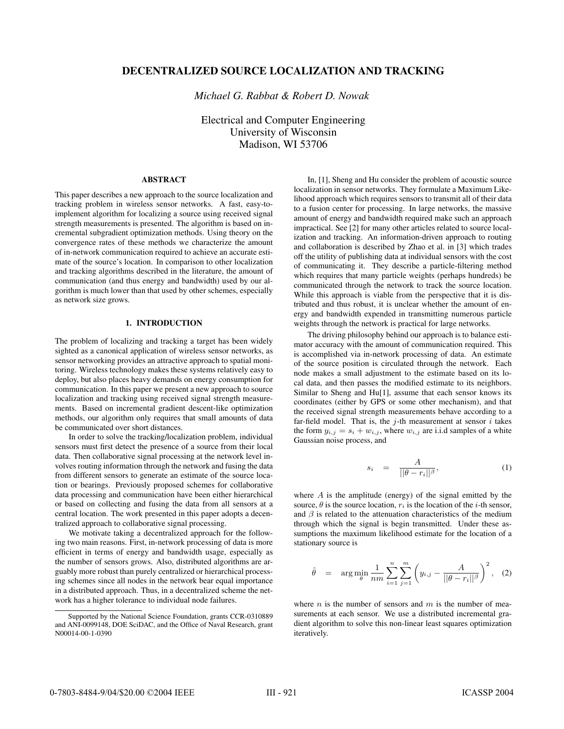# **DECENTRALIZED SOURCE LOCALIZATION AND TRACKING**

*Michael G. Rabbat & Robert D. Nowak*

Electrical and Computer Engineering University of Wisconsin Madison, WI 53706

### **ABSTRACT**

This paper describes a new approach to the source localization and tracking problem in wireless sensor networks. A fast, easy-toimplement algorithm for localizing a source using received signal strength measurements is presented. The algorithm is based on incremental subgradient optimization methods. Using theory on the convergence rates of these methods we characterize the amount of in-network communication required to achieve an accurate estimate of the source's location. In comparison to other localization and tracking algorithms described in the literature, the amount of communication (and thus energy and bandwidth) used by our algorithm is much lower than that used by other schemes, especially as network size grows.

### **1. INTRODUCTION**

The problem of localizing and tracking a target has been widely sighted as a canonical application of wireless sensor networks, as sensor networking provides an attractive approach to spatial monitoring. Wireless technology makes these systems relatively easy to deploy, but also places heavy demands on energy consumption for communication. In this paper we present a new approach to source localization and tracking using received signal strength measurements. Based on incremental gradient descent-like optimization methods, our algorithm only requires that small amounts of data be communicated over short distances.

In order to solve the tracking/localization problem, individual sensors must first detect the presence of a source from their local data. Then collaborative signal processing at the network level involves routing information through the network and fusing the data from different sensors to generate an estimate of the source location or bearings. Previously proposed schemes for collaborative data processing and communication have been either hierarchical or based on collecting and fusing the data from all sensors at a central location. The work presented in this paper adopts a decentralized approach to collaborative signal processing.

We motivate taking a decentralized approach for the following two main reasons. First, in-network processing of data is more efficient in terms of energy and bandwidth usage, especially as the number of sensors grows. Also, distributed algorithms are arguably more robust than purely centralized or hierarchical processing schemes since all nodes in the network bear equal importance in a distributed approach. Thus, in a decentralized scheme the network has a higher tolerance to individual node failures.

In, [1], Sheng and Hu consider the problem of acoustic source localization in sensor networks. They formulate a Maximum Likelihood approach which requires sensors to transmit all of their data to a fusion center for processing. In large networks, the massive amount of energy and bandwidth required make such an approach impractical. See [2] for many other articles related to source localization and tracking. An information-driven approach to routing and collaboration is described by Zhao et al. in [3] which trades off the utility of publishing data at individual sensors with the cost of communicating it. They describe a particle-filtering method which requires that many particle weights (perhaps hundreds) be communicated through the network to track the source location. While this approach is viable from the perspective that it is distributed and thus robust, it is unclear whether the amount of energy and bandwidth expended in transmitting numerous particle weights through the network is practical for large networks.

The driving philosophy behind our approach is to balance estimator accuracy with the amount of communication required. This is accomplished via in-network processing of data. An estimate of the source position is circulated through the network. Each node makes a small adjustment to the estimate based on its local data, and then passes the modified estimate to its neighbors. Similar to Sheng and Hu[1], assume that each sensor knows its coordinates (either by GPS or some other mechanism), and that the received signal strength measurements behave according to a far-field model. That is, the  $j$ -th measurement at sensor  $i$  takes the form  $y_{i,j} = s_i + w_{i,j}$ , where  $w_{i,j}$  are i.i.d samples of a white Gaussian noise process, and

$$
s_i = \frac{A}{||\theta - r_i||^{\beta}}, \tag{1}
$$

where  $A$  is the amplitude (energy) of the signal emitted by the source,  $\theta$  is the source location,  $r_i$  is the location of the *i*-th sensor, and  $\beta$  is related to the attenuation characteristics of the medium through which the signal is begin transmitted. Under these assumptions the maximum likelihood estimate for the location of a stationary source is

$$
\hat{\theta} = \arg \min_{\theta} \frac{1}{nm} \sum_{i=1}^{n} \sum_{j=1}^{m} \left( y_{i,j} - \frac{A}{||\theta - r_i||^{\beta}} \right)^2
$$
, (2)

where *n* is the number of sensors and *m* is the number of measurements at each sensor. We use a distributed incremental gradient algorithm to solve this non-linear least squares optimization iteratively.

Supported by the National Science Foundation, grants CCR-0310889 and ANI-0099148, DOE SciDAC, and the Office of Naval Research, grant N00014-00-1-0390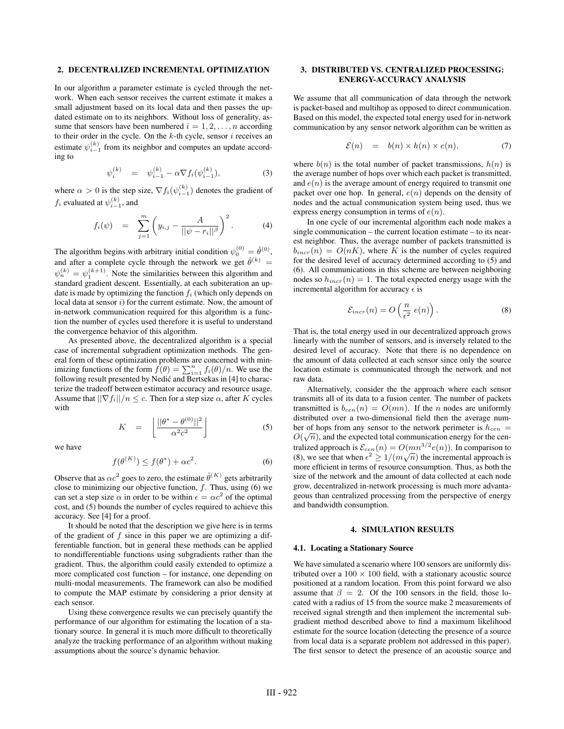### **2. DECENTRALIZED INCREMENTAL OPTIMIZATION**

In our algorithm a parameter estimate is cycled through the network. When each sensor receives the current estimate it makes a small adjustment based on its local data and then passes the updated estimate on to its neighbors. Without loss of generality, assume that sensors have been numbered  $i = 1, 2, \ldots, n$  according to their order in the cycle. On the  $k$ -th cycle, sensor  $i$  receives an estimate  $\psi_{i-1}^{(k)}$  from its neighbor and computes an update according to

$$
\psi_i^{(k)} = \psi_{i-1}^{(k)} - \alpha \nabla f_i(\psi_{i-1}^{(k)}), \tag{3}
$$

where  $\alpha > 0$  is the step size,  $\nabla f_i(\psi_{i-1}^{(k)})$  denotes the gradient of  $f_i$  evaluated at  $\psi_{i-1}^{(k)}$ , and

$$
f_i(\psi) = \sum_{j=1}^m \left( y_{i,j} - \frac{A}{||\psi - r_i||^{\beta}} \right)^2.
$$
 (4)

The algorithm begins with arbitrary initial condition  $\psi_0^{(0)} = \hat{\theta}^{(0)}$ , and after a complete cycle through the network we get  $\hat{\theta}^{(k)} =$ <br> $\theta^{(k)} = \theta^{(k+1)}$ . Note the similarities between this algorithm and  $\psi_n^{(k)} = \psi_1^{(k+1)}$ . Note the similarities between this algorithm and standard gradient descent. Essentially, at each subjection an unstandard gradient descent. Essentially, at each subiteration an update is made by optimizing the function  $f_i$  (which only depends on local data at sensor  $i$ ) for the current estimate. Now, the amount of in-network communication required for this algorithm is a function the number of cycles used therefore it is useful to understand the convergence behavior of this algorithm.

As presented above, the decentralized algorithm is a special case of incremental subgradient optimization methods. The general form of these optimization problems are concerned with minimizing functions of the form  $\hat{f}(\theta) = \sum_{i=1}^{n} f_i(\theta)/n$ . We use the following result presented by Nedić and Bertsekas in [4] to characfollowing result presented by Nedić and Bertsekas in [4] to characterize the tradeoff between estimator accuracy and resource usage. Assume that  $||\nabla f_i||/n \leq c$ . Then for a step size  $\alpha$ , after K cycles with

$$
K = \left[ \frac{||\theta^* - \theta^{(0)}||^2}{\alpha^2 c^2} \right] \tag{5}
$$

we have

$$
f(\theta^{(K)}) \le f(\theta^*) + \alpha c^2. \tag{6}
$$

Observe that as  $\alpha c^2$  goes to zero, the estimate  $\hat{\theta}^{(K)}$  gets arbitrarily close to minimizing our objective function,  $f$ . Thus, using  $(6)$  we can set a step size  $\alpha$  in order to be within  $\epsilon = \alpha c^2$  of the optimal cost, and (5) bounds the number of cycles required to achieve this accuracy. See [4] for a proof.

It should be noted that the description we give here is in terms of the gradient of  $f$  since in this paper we are optimizing a differentiable function, but in general these methods can be applied to nondifferentiable functions using subgradients rather than the gradient. Thus, the algorithm could easily extended to optimize a more complicated cost function – for instance, one depending on multi-modal measurements. The framework can also be modified to compute the MAP estimate by considering a prior density at each sensor.

Using these convergence results we can precisely quantify the performance of our algorithm for estimating the location of a stationary source. In general it is much more difficult to theoretically analyze the tracking performance of an algorithm without making assumptions about the source's dynamic behavior.

# **3. DISTRIBUTED VS. CENTRALIZED PROCESSING: ENERGY-ACCURACY ANALYSIS**

We assume that all communication of data through the network is packet-based and multihop as opposed to direct communication. Based on this model, the expected total energy used for in-network communication by any sensor network algorithm can be written as

$$
\mathcal{E}(n) = b(n) \times h(n) \times e(n), \tag{7}
$$

where  $b(n)$  is the total number of packet transmissions,  $h(n)$  is the average number of hops over which each packet is transmitted, and  $e(n)$  is the average amount of energy required to transmit one packet over one hop. In general,  $e(n)$  depends on the density of nodes and the actual communication system being used, thus we express energy consumption in terms of  $e(n)$ .

In one cycle of our incremental algorithm each node makes a single communication – the current location estimate – to its nearest neighbor. Thus, the average number of packets transmitted is  $b_{incr}(n) = O(nK)$ , where K is the number of cycles required for the desired level of accuracy determined according to (5) and (6). All communications in this scheme are between neighboring nodes so  $h_{incr}(n)=1$ . The total expected energy usage with the incremental algorithm for accuracy  $\epsilon$  is

$$
\mathcal{E}_{incr}(n) = O\left(\frac{n}{\epsilon^2} \ e(n)\right). \tag{8}
$$

That is, the total energy used in our decentralized approach grows linearly with the number of sensors, and is inversely related to the desired level of accuracy. Note that there is no dependence on the amount of data collected at each sensor since only the source location estimate is communicated through the network and not raw data.

Alternatively, consider the the approach where each sensor transmits all of its data to a fusion center. The number of packets transmitted is  $b_{cen}(n) = O(mn)$ . If the *n* nodes are uniformly distributed over a two-dimensional field then the average number of hops from any sensor to the network perimeter is  $h_{cen} =$  $O($  $O(\sqrt{n})$ , and the expected total communication energy for the centralized approach is  $\mathcal{E}_{cen}(n) = O(mn^{3/2}e(n))$ . In comparison to (8), we see that when  $\epsilon^2 \ge 1/(m\sqrt{n})$  the incremental approach is more efficient in terms of resource consumption. Thus as both the more efficient in terms of resource consumption. Thus, as both the size of the network and the amount of data collected at each node grow, decentralized in-network processing is much more advantageous than centralized processing from the perspective of energy and bandwidth consumption.

#### **4. SIMULATION RESULTS**

#### **4.1. Locating a Stationary Source**

We have simulated a scenario where 100 sensors are uniformly distributed over a  $100 \times 100$  field, with a stationary acoustic source positioned at a random location. From this point forward we also assume that  $\beta = 2$ . Of the 100 sensors in the field, those located with a radius of 15 from the source make 2 measurements of received signal strength and then implement the incremental subgradient method described above to find a maximum likelihood estimate for the source location (detecting the presence of a source from local data is a separate problem not addressed in this paper). The first sensor to detect the presence of an acoustic source and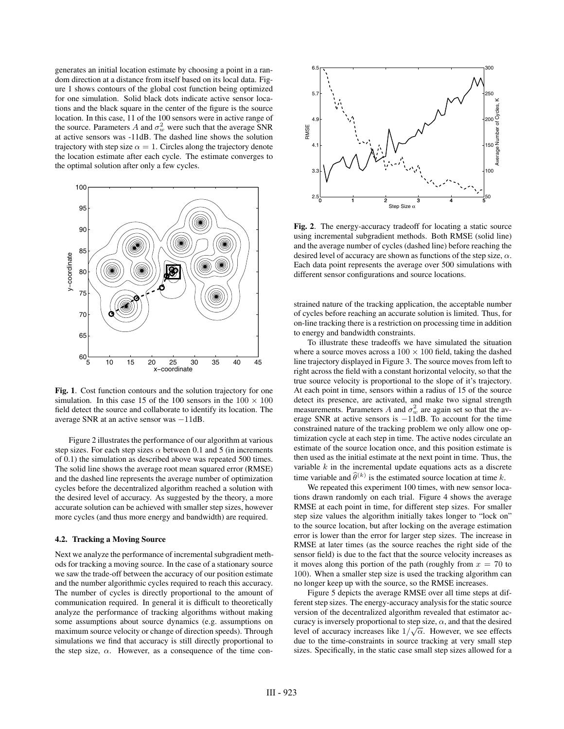generates an initial location estimate by choosing a point in a random direction at a distance from itself based on its local data. Figure 1 shows contours of the global cost function being optimized for one simulation. Solid black dots indicate active sensor locations and the black square in the center of the figure is the source location. In this case, 11 of the 100 sensors were in active range of the source. Parameters A and  $\sigma_w^2$  were such that the average SNR at active sensors was -11dB. The dashed line shows the solution trajectory with step size  $\alpha = 1$ . Circles along the trajectory denote the location estimate after each cycle. The estimate converges to the optimal solution after only a few cycles.



**Fig. 1**. Cost function contours and the solution trajectory for one simulation. In this case 15 of the 100 sensors in the  $100 \times 100$ field detect the source and collaborate to identify its location. The average SNR at an active sensor was <sup>−</sup>11dB.

Figure 2 illustrates the performance of our algorithm at various step sizes. For each step sizes  $\alpha$  between 0.1 and 5 (in increments of 0.1) the simulation as described above was repeated 500 times. The solid line shows the average root mean squared error (RMSE) and the dashed line represents the average number of optimization cycles before the decentralized algorithm reached a solution with the desired level of accuracy. As suggested by the theory, a more accurate solution can be achieved with smaller step sizes, however more cycles (and thus more energy and bandwidth) are required.

### **4.2. Tracking a Moving Source**

Next we analyze the performance of incremental subgradient methods for tracking a moving source. In the case of a stationary source we saw the trade-off between the accuracy of our position estimate and the number algorithmic cycles required to reach this accuracy. The number of cycles is directly proportional to the amount of communication required. In general it is difficult to theoretically analyze the performance of tracking algorithms without making some assumptions about source dynamics (e.g. assumptions on maximum source velocity or change of direction speeds). Through simulations we find that accuracy is still directly proportional to the step size,  $\alpha$ . However, as a consequence of the time con-



**Fig. 2**. The energy-accuracy tradeoff for locating a static source using incremental subgradient methods. Both RMSE (solid line) and the average number of cycles (dashed line) before reaching the desired level of accuracy are shown as functions of the step size,  $\alpha$ . Each data point represents the average over 500 simulations with different sensor configurations and source locations.

strained nature of the tracking application, the acceptable number of cycles before reaching an accurate solution is limited. Thus, for on-line tracking there is a restriction on processing time in addition to energy and bandwidth constraints.

To illustrate these tradeoffs we have simulated the situation where a source moves across a  $100 \times 100$  field, taking the dashed line trajectory displayed in Figure 3. The source moves from left to right across the field with a constant horizontal velocity, so that the true source velocity is proportional to the slope of it's trajectory. At each point in time, sensors within a radius of 15 of the source detect its presence, are activated, and make two signal strength measurements. Parameters A and  $\sigma_w^2$  are again set so that the average SNR at active sensors is <sup>−</sup>11dB. To account for the time constrained nature of the tracking problem we only allow one optimization cycle at each step in time. The active nodes circulate an estimate of the source location once, and this position estimate is then used as the initial estimate at the next point in time. Thus, the variable  $k$  in the incremental update equations acts as a discrete time variable and  $\hat{\theta}^{(k)}$  is the estimated source location at time k.

We repeated this experiment 100 times, with new sensor locations drawn randomly on each trial. Figure 4 shows the average RMSE at each point in time, for different step sizes. For smaller step size values the algorithm initially takes longer to "lock on" to the source location, but after locking on the average estimation error is lower than the error for larger step sizes. The increase in RMSE at later times (as the source reaches the right side of the sensor field) is due to the fact that the source velocity increases as it moves along this portion of the path (roughly from  $x = 70$  to 100). When a smaller step size is used the tracking algorithm can no longer keep up with the source, so the RMSE increases.

Figure 5 depicts the average RMSE over all time steps at different step sizes. The energy-accuracy analysis for the static source version of the decentralized algorithm revealed that estimator accuracy is inversely proportional to step size,  $\alpha$ , and that the desired level of accuracy increases like  $1/\sqrt{\alpha}$ . However, we see effects<br>due to the time-constraints in source tracking at very small step due to the time-constraints in source tracking at very small step sizes. Specifically, in the static case small step sizes allowed for a